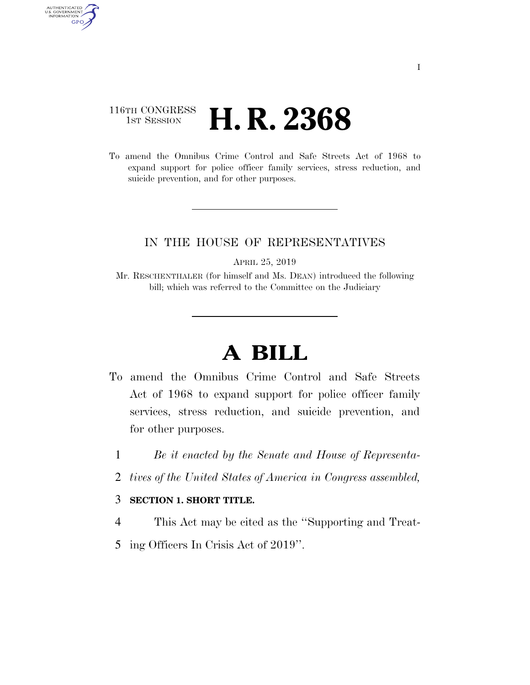### 116TH CONGRESS <sup>TH CONGRESS</sup> **H. R. 2368**

AUTHENTICATED<br>U.S. GOVERNMENT<br>INFORMATION

GPO

To amend the Omnibus Crime Control and Safe Streets Act of 1968 to expand support for police officer family services, stress reduction, and suicide prevention, and for other purposes.

### IN THE HOUSE OF REPRESENTATIVES

APRIL 25, 2019

Mr. RESCHENTHALER (for himself and Ms. DEAN) introduced the following bill; which was referred to the Committee on the Judiciary

# **A BILL**

- To amend the Omnibus Crime Control and Safe Streets Act of 1968 to expand support for police officer family services, stress reduction, and suicide prevention, and for other purposes.
	- 1 *Be it enacted by the Senate and House of Representa-*
	- 2 *tives of the United States of America in Congress assembled,*

#### 3 **SECTION 1. SHORT TITLE.**

- 4 This Act may be cited as the ''Supporting and Treat-
- 5 ing Officers In Crisis Act of 2019''.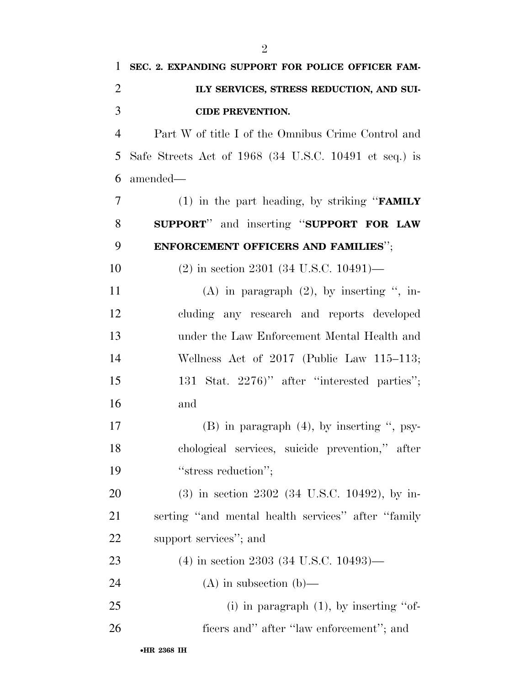| 1              | SEC. 2. EXPANDING SUPPORT FOR POLICE OFFICER FAM-           |
|----------------|-------------------------------------------------------------|
| $\overline{2}$ | ILY SERVICES, STRESS REDUCTION, AND SUI-                    |
| 3              | <b>CIDE PREVENTION.</b>                                     |
| $\overline{4}$ | Part W of title I of the Omnibus Crime Control and          |
| 5              | Safe Streets Act of 1968 (34 U.S.C. 10491 et seq.) is       |
| 6              | amended—                                                    |
| 7              | (1) in the part heading, by striking " <b>FAMILY</b>        |
| 8              | SUPPORT" and inserting "SUPPORT FOR LAW                     |
| 9              | ENFORCEMENT OFFICERS AND FAMILIES";                         |
| 10             | $(2)$ in section 2301 (34 U.S.C. 10491)—                    |
| 11             | $(A)$ in paragraph $(2)$ , by inserting ", in-              |
| 12             | cluding any research and reports developed                  |
| 13             | under the Law Enforcement Mental Health and                 |
| 14             | Wellness Act of $2017$ (Public Law $115-113$ ;              |
| 15             | 131 Stat. 2276)" after "interested parties";                |
| 16             | and                                                         |
| 17             | $(B)$ in paragraph $(4)$ , by inserting ", psy-             |
| 18             | chological services, suicide prevention," after             |
| 19             | "stress reduction";                                         |
| 20             | $(3)$ in section 2302 $(34 \text{ U.S.C. } 10492)$ , by in- |
| 21             | serting "and mental health services" after "family          |
| 22             | support services"; and                                      |
| 23             | $(4)$ in section 2303 (34 U.S.C. 10493)—                    |
| 24             | $(A)$ in subsection $(b)$ —                                 |
| 25             | (i) in paragraph $(1)$ , by inserting "of-                  |
| 26             | ficers and" after "law enforcement"; and                    |
|                |                                                             |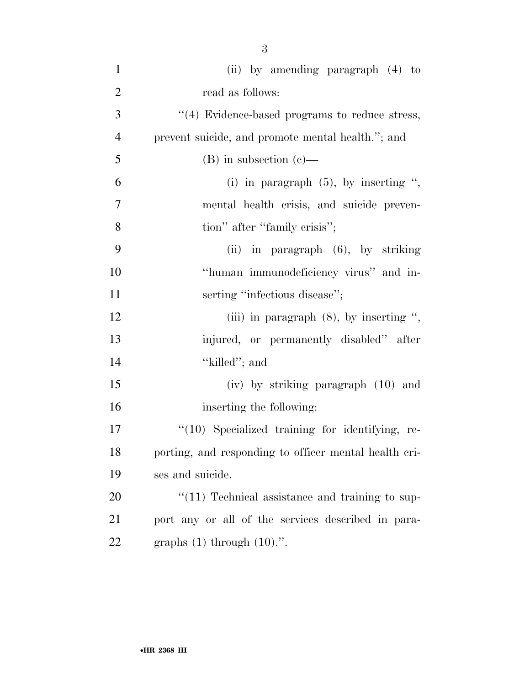| $\mathbf{1}$   | (ii) by amending paragraph (4) to                     |
|----------------|-------------------------------------------------------|
| $\overline{2}$ | read as follows:                                      |
| 3              | "(4) Evidence-based programs to reduce stress,        |
| $\overline{4}$ | prevent suicide, and promote mental health."; and     |
| 5              | $(B)$ in subsection $(e)$ —                           |
| 6              | (i) in paragraph $(5)$ , by inserting ",              |
| $\tau$         | mental health crisis, and suicide preven-             |
| 8              | tion" after "family crisis";                          |
| 9              | (ii) in paragraph $(6)$ , by striking                 |
| 10             | "human immunodeficiency virus" and in-                |
| 11             | serting "infectious disease";                         |
| 12             | (iii) in paragraph $(8)$ , by inserting ",            |
| 13             | injured, or permanently disabled" after               |
| 14             | "killed"; and                                         |
| 15             | (iv) by striking paragraph (10) and                   |
| 16             | inserting the following:                              |
| 17             | $\lq(10)$ Specialized training for identifying, re-   |
| 18             | porting, and responding to officer mental health cri- |
| 19             | ses and suicide.                                      |
| 20             | $"(11)$ Technical assistance and training to sup-     |
| 21             | port any or all of the services described in para-    |
| 22             | graphs $(1)$ through $(10)$ .".                       |